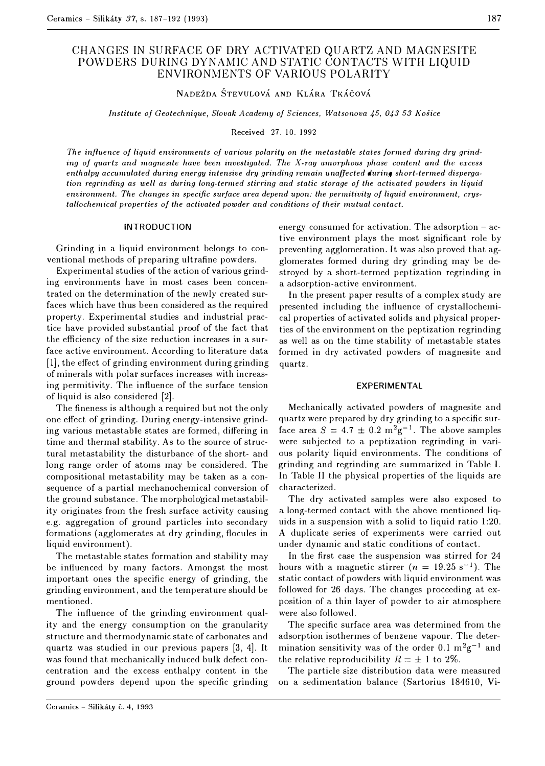# CHANGES IN SURFACE OF DRY ACTIVATED QUARTZ AND MAGNESITE POWDERS DURING DYNAMIC AND STATIC CONTACTS WITH LIQUID ENVIRONMENTS OF VARIOUS POLARITY

**NADEZDA STEVULOVA AND KLARA TKACOVA** 

*Institute of Geotechnique, Slovak Academy of Sciences, Watsonova 45, 043 53 Kosice* 

Received 27. 10. 1992

The influence of liquid environments of various polarity on the metastable states formed during dry grind*ing of quartz and magnesite have been investigated. The X-ray amorphous phase content and the excess enthalpy accumulated during energy intensive dry grinding remain unaffected during short-termed dispergation regrinding as well as during long-termed stirring and static storage of the activated powders in liquid environment. The changes in specific surface area depend upon: the permitivity of liquid environment, crystallochemical properties of the activated powder and conditions of their mutual contact.* 

#### INTRODUCTION

Grinding in a liquid environment belongs to conventional methods of preparing ultrafine powders.

Experimental studies of the action of various grinding environments have in most cases been concentrated on the determination of the newly created surfaces which have thus been considered as the required property. Experimental studies and industrial practice have provided substantial proof of the fact that the efficiency of the size reduction increases in a surface active environment. According to literature data (1], the effect of grinding environment during grinding of minerals with polar surfaces increases with increasing permitivity. The influence of the surface tension of liquid is also considered (2].

The fineness is although a required but not the only one effect of grinding. During energy-intensive grinding various metastable states are formed, differing in time and thermal stability. As to the source of structural metastability the disturbance of the short- and long range order of atoms may be considered. The compositional metastability may be taken as a consequence of a partial mechanochemical conversion of the ground substance. The morphological metastability originates from the fresh surface activity causing e.g. aggregation of ground particles into secondary formations (agglomerates at dry grinding, flocules in liquid environment).

The metastable states formation and stability may be influenced by many factors. Amongst the most important ones the specific energy of grinding, the grinding environment, and the temperature should be mentioned.

The influence of the grinding environment quality and the energy consumption on the granularity structure and thermodynamic state of carbonates and quartz was studied in our previous papers (3, 4]. It was found that mechanically induced bulk defect concentration and the excess enthalpy content in the ground powders depend upon the specific grinding energy consumed for activation. The adsorption – active environment plays the most significant role by preventing agglomeration. It was also proved that agglomerates formed during dry grinding may be destroyed by a short-termed peptization regrinding in a adsorption-active environment.

In the present paper results of a complex study are presented including the influence of crystallochernical properties of activated solids and physical properties of the environment on the peptization regrinding as well as on the time stability of metastable states formed in dry activated powders of magnesite and quartz.

### **EXPERIMENTAL**

Mechanically activated powders of magnesite and quartz were prepared by dry grinding to a specific surface area  $S = 4.7 \pm 0.2 \text{ m}^2 \text{g}^{-1}$ . The above samples were subjected to a peptization regrinding in various polarity liquid environments. The conditions of grinding and regrinding are summarized in Table I. In Table II the physical properties of the liquids are characterized.

The dry activated samples were also exposed to a long-termed contact with the above mentioned liquids in a suspension with a solid to liquid ratio 1:20. A duplicate series of experiments were carried out under dynamic and static conditions of contact.

In the first case the suspension was stirred for 24 In the first case the suspension was stirred for 24<br>hours with a magnetic stirrer  $(n = 19.25 \text{ s}^{-1})$ . The static contact of powders with liquid environment was followed for 26 days. The changes proceeding at exposition of a thin layer of powder to air atmosphere were also followed.

The specific surface area was determined from the adsorption isothermes of benzene vapour. The determination sensitivity was of the order 0.1  $\mathrm{m}^2\mathrm{g}^{-1}$  and the relative reproducibility  $R = \pm 1$  to 2%.

The particle size distribution data were measured on a sedimentation balance (Sartorius 184610, Vi-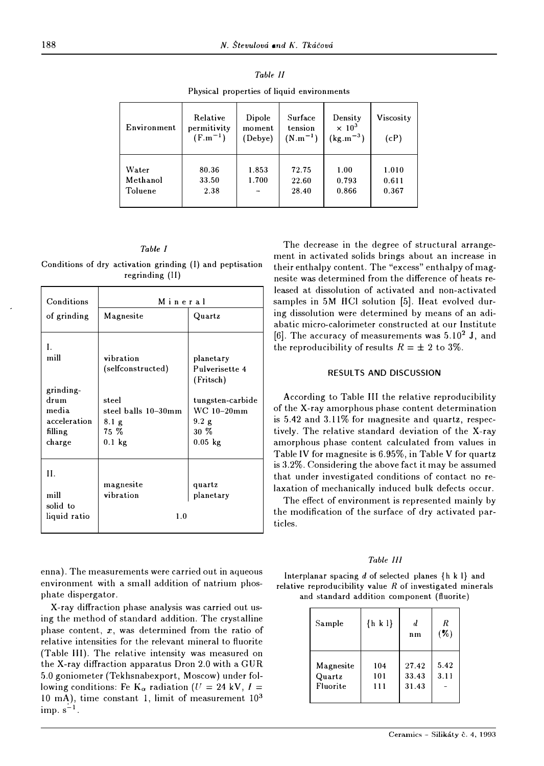| Environment                  | Relative<br>permitivity<br>$(F.m^{-1})$ | Dipole<br>moment<br>(Debye) | Surface<br>tension<br>$(N.m^{-1})$ | Density<br>$\times 10^3$<br>$(kg.m^{-3})$ | Viscosity<br>(cP)       |  |  |  |
|------------------------------|-----------------------------------------|-----------------------------|------------------------------------|-------------------------------------------|-------------------------|--|--|--|
| Water<br>Methanol<br>Toluene | 80.36<br>33.50<br>2.38                  | 1.853<br>1.700              | 72.75<br>22.60<br>28.40            | 1.00<br>0.793<br>0.866                    | 1.010<br>0.611<br>0.367 |  |  |  |

| Table II |  |  |                                            |  |  |  |  |
|----------|--|--|--------------------------------------------|--|--|--|--|
|          |  |  | Physical properties of liquid environments |  |  |  |  |

#### *Table I*

Conditions of dry activation grinding (I) and peptisation regrinding (11)

| Conditions                                                                    | Mineral                                                                                              |                                                                                                            |  |  |  |  |
|-------------------------------------------------------------------------------|------------------------------------------------------------------------------------------------------|------------------------------------------------------------------------------------------------------------|--|--|--|--|
| of grinding                                                                   | Magnesite                                                                                            | Quartz                                                                                                     |  |  |  |  |
| L.<br>mill<br>grinding-<br>drum<br>media<br>acceleration<br>filling<br>charge | vibration<br>(selfconstructed)<br>steel<br>steel balls 10–30mm<br>$8.1\text{ g}$<br>75 %<br>$0.1$ kg | planetary<br>Pulverisette 4<br>(Fritsch)<br>tungsten-carbide<br>WC 10-20mm<br>9.2 g<br>30 %<br>$0.05$ $kg$ |  |  |  |  |
| H.<br>mill<br>solid to<br>liquid ratio                                        | magnesite<br>vibration<br>1.0                                                                        | quartz<br>planetary                                                                                        |  |  |  |  |

enna). The measurements were carried out in aqueous environment with a small addition of natrium phosphate dispergator.

X-ray diffraction phase analysis was carried out using the method of standard addition. The crystalline phase content,  $x$ , was determined from the ratio of relative intensities for the relevant mineral to fluorite (Table III). The relative intensity was measured on the X-ray diffraction apparatus Dron 2.0 with a GUR 5.0 goniometer (Tekhsnabexport, Moscow) under following conditions: Fe  $K_{\alpha}$  radiation *(U = 24 kV, I =*  $\frac{1}{2}$ 10 mA), time constant I, limit of measurement 10<sup>3</sup>  $\lim_{s \to 1}$ .

The decrease in the degree of structural arrangement in activated solids brings about an increase in their enthalpy content. The "excess" enthalpy of magnesite was determined from the difference of heats released at dissolution of activated and non-activated samples in 5M HCl solution [5]. Heat evolved during dissolution were determined by means of an adiabatic micro-calorimeter constructed at our Institute (6]. The accuracy of measurements was 5.10**<sup>2</sup>**J, and the reproducibility of results  $R = \pm 2$  to 3%.

## RESULTS AND DISCUSSION

According to Table III the relative reproducibility of the X-ray amorphous phase content determination is 5.42 and 3.1 I% for magnesite and quartz, respectively. The relative standard deviation of the X-ray amorphous phase content calculated from values in Table IV for magnesite is 6.95%, in Table V for quartz is 3.2%. Considering the above fact it may be assumed that under investigated conditions of contact no relaxation of mechanically induced bulk defects occur.

The effect of environment is represented mainly by the modification of the surface of dry activated particles.

# *Tobie Ill*

lnterplanar spacing *d* of selected planes {h k I} and relative reproducibility value *R* of investigated minerals and standard addition component (fluorite)

| Sample                          | $\{h \mid k \mid \}$ | d<br>n <sub>n</sub>     | R<br>$($ % $)$ |
|---------------------------------|----------------------|-------------------------|----------------|
| Magnesite<br>Quartz<br>Fluorite | 104<br>101<br>111    | 27.42<br>33.43<br>31.43 | 5.42<br>3.11   |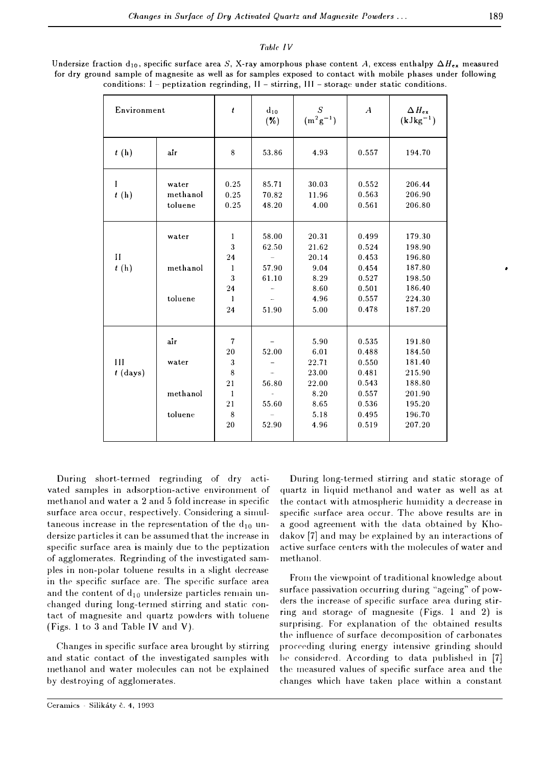## Table JV

| Environment          |                   | $\boldsymbol{t}$         | $d_{10}$<br>$(\%)$             | S<br>$(m^2g^{-1})$   | $\boldsymbol{A}$        | $\Delta$ $H_{\rm ex}$<br>$(kJkg^{-1})$ |
|----------------------|-------------------|--------------------------|--------------------------------|----------------------|-------------------------|----------------------------------------|
| t(h)                 | air               | 8                        | 53.86                          | 4.93                 | 0.557                   | 194.70                                 |
| I<br>t(h)            | water<br>methanol | 0.25<br>0.25             | 85.71<br>70.82                 | 30.03<br>11.96       | 0.552<br>0.563          | 206.44<br>206.90                       |
|                      | toluene           | 0.25                     | 48.20                          | 4.00                 | 0.561                   | 206.80                                 |
|                      | water             | $\mathbf{1}$<br>3        | 58.00<br>62.50                 | 20.31<br>21.62       | 0.499<br>0.524          | 179.30<br>198.90                       |
| $\mathbf{H}$<br>t(h) | methanol          | 24<br>$\mathbf{1}$       | 57.90                          | 20.14<br>9.04        | 0.453<br>0.454          | 196.80<br>187.80                       |
|                      |                   | $\mathbf{3}$             | 61.10                          | 8.29                 | 0.527                   | 198.50                                 |
|                      | toluene           | 24<br>$\mathbf{1}$<br>24 | 51.90                          | 8.60<br>4.96<br>5.00 | 0.501<br>0.557<br>0.478 | 186.40<br>224.30<br>187.20             |
|                      | air               | $\overline{\mathcal{L}}$ |                                | 5.90                 | 0.535                   | 191.80                                 |
| Ш                    | water             | $20\,$<br>3              | 52.00                          | 6.01<br>22.71        | 0.488<br>0.550          | 184.50<br>181.40                       |
| $t$ (days)           |                   | 8<br>21                  | $\tilde{\phantom{a}}$<br>56.80 | 23.00<br>22.00       | 0.481<br>0.543          | 215.90<br>188.80                       |
|                      | methanol          | $\mathbf{1}$             |                                | 8.20                 | 0.557                   | 201.90                                 |
|                      | toluene           | 21<br>8                  | 55.60                          | 8.65<br>5.18         | 0.536<br>0.495          | 195.20<br>196.70                       |
|                      |                   | 20                       | 52.90                          | 4.96                 | 0.519                   | 207.20                                 |

Undersize fraction d<sub>10</sub>, specific surface area *S*, X-ray amorphous phase content *A*, excess enthalpy  $\Delta H_{ex}$  measured for dry ground sample of magnesite as well as for samples exposed to contact with mobile phases under following conditions:  $I$  - peptization regrinding,  $II$  - stirring,  $III$  - storage under static conditions.

During short-termed regrinding of dry activated samples in adsorption-active environrnent of methanol and water a 2 and 5 fold increase in specific surface area occur, respectively. Considering a simultaneous increase in the representation of the  $d_{10}$  undersize particles it can be assumed that the increase in specific surface area is mainly due to the peptization of agglomerates. Regrinding of the investigated samples in non-polar toluene results in a slight decrease in the specific surface are. The specific surface area and the content of  $d_{10}$  undersize particles remain unchanged during long-termed stirring and static contact of magnesite and quartz powders with toluene (Figs. 1 to 3 and Table IV and V).

Changes in specific surface area brought by stirring and static contact of the investigated samples with methanol and water molecules can not be explained by destroying of agglomerates.

During long-terrned stirring and static storage of quartz in liquid methanol and water as well as at the contact. with atmospheric humidity a decrease **in** specific surface area occur. The above results are **in** a good agreement with the data obtained by Khodakov [7] and may be explained by an interactions of active surface centers with the molecules of water and methanol.

From the viewpoint of traditional knowledge about surface passivation occurring during "ageing" of powders the increase of specific surface area during stirring and storage of magnesite (Figs. 1 and 2) is surprising. For explanation of the obtained results the influence of surface decomposition of carbonates proceeding during energy intensive grinding should he considered. According to data published in [7] the measured values of specific surface area and the changes which have taken place within a constant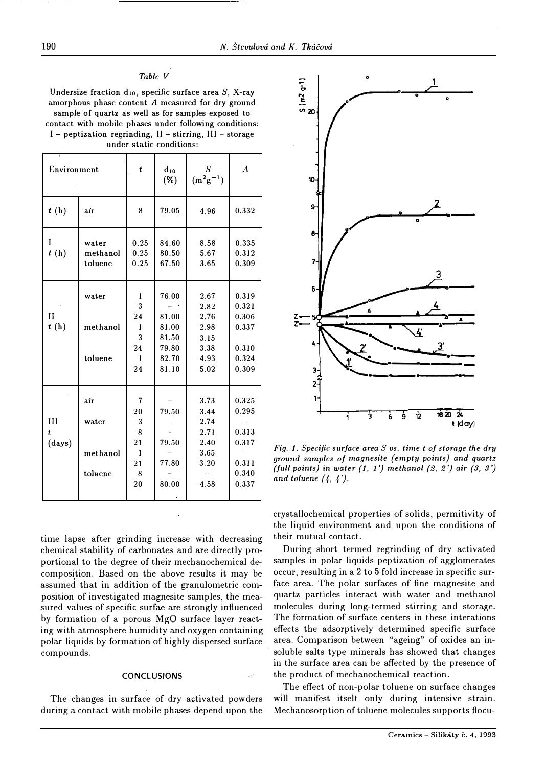# *Table V*

**Undersize fraction d10, specific surface area** *S,* **X-ray amorphous phase content** *A* **measured for dry ground sample of quartz as well as for samples exposed to contact with mobile phases under following conditions:** 

|  |  |  | $i$ – peptization regrinding, $11$ – stirring, $111$ – storage |  |
|--|--|--|----------------------------------------------------------------|--|
|  |  |  | under static conditions:                                       |  |

| Environment                                               |                              | t                                                        | $d_{10}$<br>( %)                                            | S<br>$(m^2g^{-1})$                                           | $\boldsymbol{A}$                                            |
|-----------------------------------------------------------|------------------------------|----------------------------------------------------------|-------------------------------------------------------------|--------------------------------------------------------------|-------------------------------------------------------------|
| t(h)                                                      | air                          |                                                          | 79.05                                                       | 4.96                                                         | 0.332                                                       |
| I<br>t(h)                                                 | water<br>methanol<br>toluene | 0.25<br>0.25<br>0.25                                     | 84.60<br>80.50<br>67.50                                     | 8.58<br>5.67<br>3.65                                         | 0.335<br>0.312<br>0.309                                     |
| $\mathbf{H}$<br>t(h)                                      | water<br>methanol<br>toluene |                                                          | 76.00<br>81.00<br>81.00<br>81.50<br>79.80<br>82.70<br>81.10 | 2.67<br>2.82<br>2.76<br>2.98<br>3.15<br>3.38<br>4.93<br>5.02 | 0.319<br>0.321<br>0.306<br>0.337<br>0.310<br>0.324<br>0.309 |
| air<br>III<br>water<br>ŧ<br>(days)<br>methanol<br>toluene |                              | 7<br>20<br>3<br>8<br>21<br>$\mathbf{1}$<br>21<br>8<br>20 | 79.50<br>79.50<br>77.80<br>80.00                            | 3.73<br>3.44<br>2.74<br>2.71<br>2.40<br>3.65<br>3.20<br>4.58 | 0.325<br>0.295<br>0.313<br>0.317<br>0.311<br>0.340<br>0.337 |

time lapse after grinding increase with decreasing chemical stability of carbonates and are directly proportional to the degree of their mechanochemical decomposition. Based on the above results it may be assumed that in addition of the granulometric composition of investigated magnesite samples, the measured values of specific surfae are strongly influenced by formation of a porous MgO surface layer reacting with atmosphere humidity and oxygen containing polar liquids by formation of highly dispersed surface compounds.

## **CONCLUSIONS**

The changes in surface of dry activated powders during a contact with mobile phases depend upon the



*Fig. 1. Specific surface area S vs. time t of storage the dry ground samples of magnesite (empty points) and quartz (full points)* in *water (1, 1 '} methanol (2, 2'} air (3, 3') and toluene (4, 4 ').* 

crystallochemical properties of solids, permitivity of the liquid environment and upon the conditions of their mutual contact.

During short termed regrinding of dry activated samples in polar liquids peptization of agglomerates occur, resulting in a 2 to 5 fold increase in specific surface area. The polar surfaces of fine magnesite and quartz particles interact with water and methanol molecules during long-termed stirring and storage. The formation of surface centers in these interations effects the adsorptively determined specific surface area. Comparison between "ageing" of oxides an insoluble salts type minerals has showed that changes in the surface area can be affected by the presence of the product of mechanochemical reaction.

The effect of non-polar toluene on surface changes will manifest itselt only during intensive strain. Mechanosorption of toluene molecules supports flocu-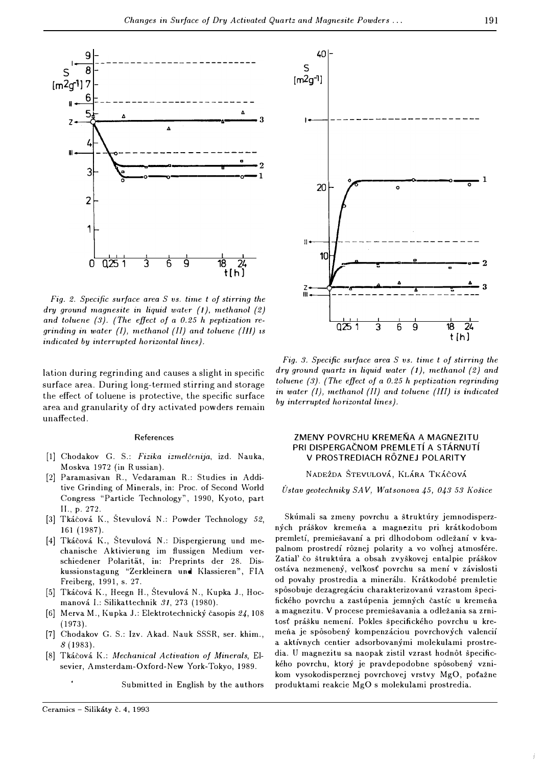

*Fig. 2. Specific surface* **area** *S vs. time t of stirring the dry ground magnesite in liquid water (1), methanol (2) and toluene (3). {The effect of a 0.25 h peptization* **re***grinding* in *water (!), methanol {II) and toluene (III) is indicated by interrupted horizontal lines).* 

lation during regrinding and causes a slight in specific surface area. During long-termed stirring and storage the effect of toluene is protective, the specific surface area and granularity of dry activated powders remain unaffected.

## References

- [1] Chodakov G. S.: *Fizika izmelcenija,* izd. Nauka, Moskva 1972 **(in** R ussian).
- [2] Paramasivau R., Vedaramau R.: Studies **in** Additive Grinding of Minerals, in: Proc. of Second World Congress "Particle Technology", 1990, Kyoto, part II., p. 272.
- [3] Tkicovi I<., Stevulovi N.: Powder Technology *52,* 161 (1987).
- [4] Tkáčová K., Števulová N.: Dispergierung und mechanische Aktivierung im flussigen Medium verschiedener Polaritat, **in:** Preprints der 28. Diskussionstagung "Zerkleinem **und** Klassieren", FIA Freiberg, 1991, s. 27.
- [5] Tkáčová K., Heegn H., Števulová N., Kupka J., Hocrnanovi I.: Silikattechnik *31,* 273 (1980).
- (6] Merva M., Kupka J.: Elektrotechnicky casopis 24,108 (1973).
- [7] Chodakov G. S.: Izv. Akad. Nauk SSSR, ser. khim., *8* (1983).
- [8] Tkicovi I<.: *Mechanical Activation of Minerals,* Elsevier, Amsterdam-Oxford-New York-Tokyo, 1989.

Submitted in English by the authors



*Fig. 3. Specific surface* **area** *S vs. time t of stirring the dry ground quartz in liquid water ( 1), methanol {2) and toluene {3}. {The effect of a 0.25 h peptization regrinding in water (!), methanol (II) and toluene (III) is indicated by interrupted horizontal lines).* 

## ZMENY POVRCHU KREMEŇA A MAGNEZITU PRI DISPERGAČNOM PREMLETÍ A STÁRNUTÍ V PROSTREDIACH ROZNEJ POLARITY

#### NADEZDA STEVULOVA, KLARA TKACOVA

Ustav geotechniky SAV, Watsonova 45, 043 53 Košice

Skúmali sa zmeny povrchu a štruktúry jemnodisperzných práškov kremeňa a magnezitu pri krátkodobom premletí, premiešavaní a pri dlhodobom odležaní v kvapalnom prostredí rôznej polarity a vo voľnej atmosfére. Zatial' čo štruktúra a obsah zvyškovej entalpie práškov ostáva nezmenený, velkosť povrchu sa mení v závislosti od povahy prostredia a minerálu. Krátkodobé premletie spôsobuje dezagregáciu charakterizovanú vzrastom špecifického povrchu a zastúpenia jemných častíc u kremeňa a magnezitu. V procese premiešavania a odležania sa zrni*tose* prisku nernenf. Pokies specifickeho povrchu u kremena je spôsobený kompenzáciou povrchových valencií a aktívnych centier adsorbovanými molekulami prostredia. U magnezitu sa naopak zistil vzrast hodnot specifického povrchu, ktorý je pravdepodobne spôsobený vznikom vysokodisperznej povrchovej vrstvy MgO, pofazne produktami reakcie MgO s molekulami prostredia.

Ť